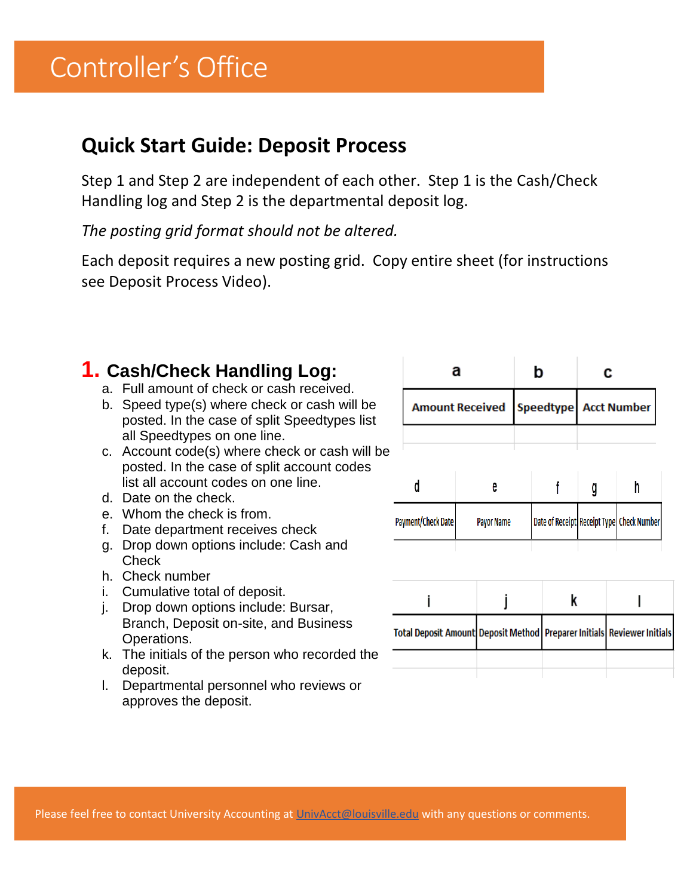# Controller's Office

### **Quick Start Guide: Deposit Process**

Step 1 and Step 2 are independent of each other. Step 1 is the Cash/Check Handling log and Step 2 is the departmental deposit log.

*The posting grid format should not be altered.*

Each deposit requires a new posting grid. Copy entire sheet (for instructions see Deposit Process Video).

### **1. Cash/Check Handling Log:**

- a. Full amount of check or cash received.
- b. Speed type(s) where check or cash will be posted. In the case of split Speedtypes list all Speedtypes on one line.
- c. Account code(s) where check or cash will be posted. In the case of split account codes list all account codes on one line.
- d. Date on the check.
- e. Whom the check is from.
- f. Date department receives check
- g. Drop down options include: Cash and **Check**
- h. Check number
- i. Cumulative total of deposit.
- j. Drop down options include: Bursar, Branch, Deposit on-site, and Business Operations.
- k. The initials of the person who recorded the deposit.
- l. Departmental personnel who reviews or approves the deposit.

|                        | а                                                                           | b |                   |  | c |                       |   |  |                                           |  |
|------------------------|-----------------------------------------------------------------------------|---|-------------------|--|---|-----------------------|---|--|-------------------------------------------|--|
| <b>Amount Received</b> |                                                                             |   |                   |  |   | Speedtype Acct Number |   |  |                                           |  |
|                        |                                                                             |   |                   |  |   |                       |   |  |                                           |  |
|                        | d                                                                           |   | e                 |  |   |                       | g |  | h                                         |  |
|                        | Payment/Check Date                                                          |   | <b>Payor Name</b> |  |   |                       |   |  | Date of Receipt Receipt Type Check Number |  |
|                        |                                                                             |   |                   |  |   |                       |   |  |                                           |  |
|                        |                                                                             |   |                   |  | k |                       |   |  |                                           |  |
|                        | Iotal Denosit Amountl Denosit Method   Prenarer Initials   Reviewer Initial |   |                   |  |   |                       |   |  |                                           |  |

Please feel free to contact University Accounting at [UnivAcct@louisville.edu](http://louisville.edu/cgi-bin/uofl.mail?name=UnivAcct&subject=Posting Grid) with any questions or comments.